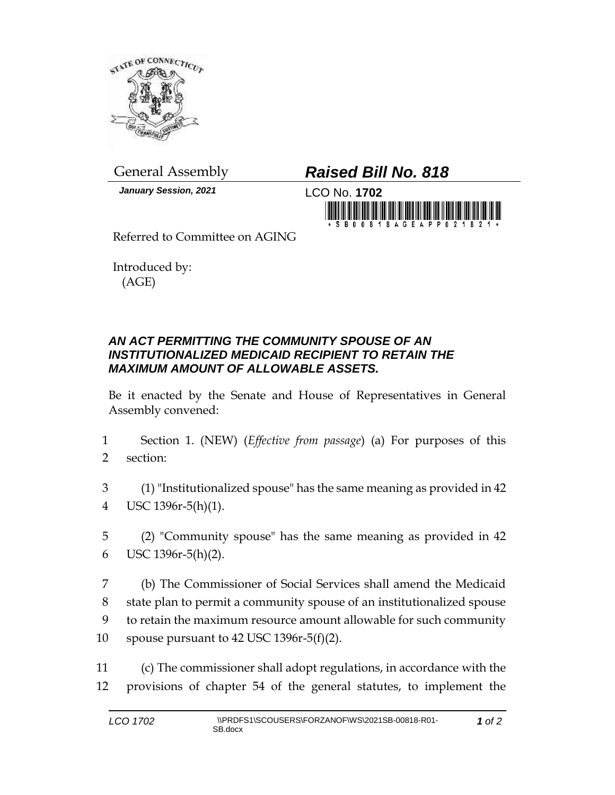

*January Session, 2021* LCO No. **1702**

## General Assembly *Raised Bill No. 818*



Referred to Committee on AGING

Introduced by: (AGE)

## *AN ACT PERMITTING THE COMMUNITY SPOUSE OF AN INSTITUTIONALIZED MEDICAID RECIPIENT TO RETAIN THE MAXIMUM AMOUNT OF ALLOWABLE ASSETS.*

Be it enacted by the Senate and House of Representatives in General Assembly convened:

- 1 Section 1. (NEW) (*Effective from passage*) (a) For purposes of this 2 section:
- 3 (1) "Institutionalized spouse" has the same meaning as provided in 42 4 USC 1396r-5(h)(1).
- 5 (2) "Community spouse" has the same meaning as provided in 42 6 USC 1396r-5(h)(2).
- 7 (b) The Commissioner of Social Services shall amend the Medicaid 8 state plan to permit a community spouse of an institutionalized spouse 9 to retain the maximum resource amount allowable for such community 10 spouse pursuant to 42 USC 1396r-5(f)(2).
- 11 (c) The commissioner shall adopt regulations, in accordance with the 12 provisions of chapter 54 of the general statutes, to implement the